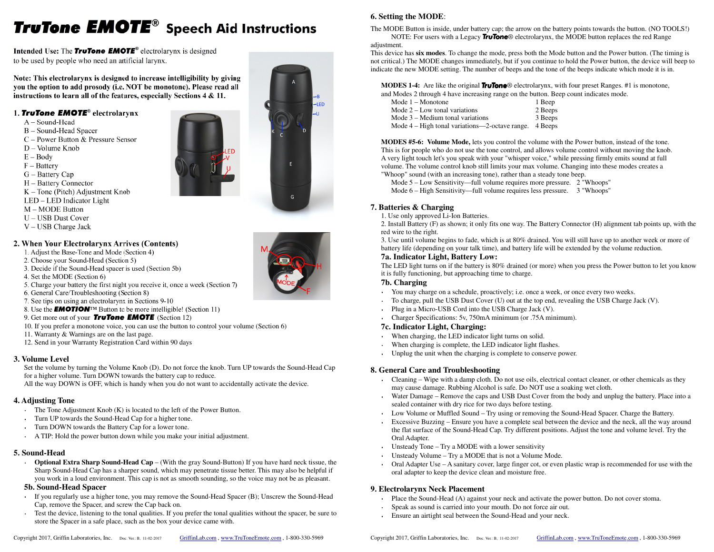# **TruTone EMOTE®** Speech Aid Instructions

**Intended Use: The TruTone EMOTE**<sup>®</sup> electrolarynx is designed to be used by people who need an artificial larynx.

Note: This electrolarynx is designed to increase intelligibility by giving you the option to add prosody (i.e. NOT be monotone). Please read all instructions to learn all of the features, especially Sections 4 & 11.

#### 1. TruTone EMOTE<sup>®</sup> electrolarynx

- $A Sound-Head$
- B Sound-Head Spacer
- C Power Button & Pressure Sensor
- $D Volume$  Knob
- $E Body$
- $F -$ Battery
- $G -$ Battery Cap
- H Battery Connector
- $K -$ Tone (Pitch) Adjustment Knob
- LED LED Indicator Light
- M MODE Button
- U USB Dust Cover
- V USB Charge Jack

#### 2. When Your Electrolarynx Arrives (Contents)

- 1. Adjust the Base-Tone and Mode (Section 4)
- 2. Choose your Sound-Head (Section 5)
- 3. Decide if the Sound-Head spacer is used (Section 5b)
- 4. Set the MODE (Section 6)
- 5. Charge your battery the first night you receive it, once a week (Section 7)
- 6. General Care/Troubleshooting (Section 8)
- 7. See tips on using an electrolarynx in Sections 9-10
- 8. Use the **EMOTION**<sup>IM</sup> Button to be more intelligible! (Section 11)
- 9. Get more out of your **TruTone EMOTE** (Section 12)
- 10. If you prefer a monotone voice, you can use the button to control your volume (Section 6)
- 11. Warranty & Warnings are on the last page.
- 12. Send in your Warranty Registration Card within 90 days

#### **3. Volume Level**

 Set the volume by turning the Volume Knob (D). Do not force the knob. Turn UP towards the Sound-Head Cap for a higher volume. Turn DOWN towards the battery cap to reduce.

All the way DOWN is OFF, which is handy when you do not want to accidentally activate the device.

## **4. Adjusting Tone**

- The Tone Adjustment Knob (K) is located to the left of the Power Button.
- Turn UP towards the Sound-Head Cap for a higher tone.
- Turn DOWN towards the Battery Cap for a lower tone.
- A TIP: Hold the power button down while you make your initial adjustment.

## **5. Sound-Head**

 **Optional Extra Sharp Sound-Head Cap** – (With the gray Sound-Button) If you have hard neck tissue, the Sharp Sound-Head Cap has a sharper sound, which may penetrate tissue better. This may also be helpful if you work in a loud environment. This cap is not as smooth sounding, so the voice may not be as pleasant.

#### **5b. Sound-Head Spacer**

- If you regularly use a higher tone, you may remove the Sound-Head Spacer (B); Unscrew the Sound-Head •Cap, remove the Spacer, and screw the Cap back on.
- Test the device, listening to the tonal qualities. If you prefer the tonal qualities without the spacer, be sure to •store the Spacer in a safe place, such as the box your device came with.

The MODE Button is inside, under battery cap; the arrow on the battery points towards the button. (NO TOOLS!)NOTE: For users with a Legacy *TruTone*® electrolarynx, the MODE button replaces the red Range adjustment.

 This device has **six modes**. To change the mode, press both the Mode button and the Power button. (The timing is not critical.) The MODE changes immediately, but if you continue to hold the Power button, the device will beep toindicate the new MODE setting. The number of beeps and the tone of the beeps indicate which mode it is in.

**MODES 1-4:** Are like the original *TruTone*® electrolarynx, with four preset Ranges. #1 is monotone, and Modes 2 through 4 have increasing range on the button. Beep count indicates mode.

| Mode 1 – Monotone                                      |  | 1 Beep  |
|--------------------------------------------------------|--|---------|
| Mode 2 – Low tonal variations                          |  | 2 Beeps |
| Mode 3 – Medium tonal variations                       |  | 3 Beeps |
| Mode 4 – High tonal variations—2-octave range. 4 Beeps |  |         |

**MODES #5-6: Volume Mode,** lets you control the volume with the Power button, instead of the tone. This is for people who do not use the tone control, and allows volume control without moving the knob.A very light touch let's you speak with your "whisper voice," while pressing firmly emits sound at full volume. The volume control knob still limits your max volume. Changing into these modes creates a "Whoop" sound (with an increasing tone), rather than a steady tone beep.

Mode 5 – Low Sensitivity—full volume requires more pressure. 2 "Whoops"

Mode 6 – High Sensitivity—full volume requires less pressure. 3 "Whoops"

#### **7. Batteries & Charging**

1. Use only approved Li-Ion Batteries.

 2. Install Battery (F) as shown; it only fits one way. The Battery Connector (H) alignment tab points up, with the red wire to the right.

 3. Use until volume begins to fade, which is at 80% drained. You will still have up to another week or more of battery life (depending on your talk time), and battery life will be extended by the volume reduction.

#### **7a. Indicator Light, Battery Low:**

 The LED light turns on if the battery is 80% drained (or more) when you press the Power button to let you know it is fully functioning, but approaching time to charge.

#### **7b. Charging**

- You may charge on a schedule, proactively; i.e. once a week, or once every two weeks.
- To charge, pull the USB Dust Cover (U) out at the top end, revealing the USB Charge Jack (V).
- Plug in a Micro-USB Cord into the USB Charge Jack (V).
- Charger Specifications: 5v, 750mA minimum (or .75A minimum).

#### **7c. Indicator Light, Charging:**

- When charging, the LED indicator light turns on solid.
- When charging is complete, the LED indicator light flashes.
- Unplug the unit when the charging is complete to conserve power.

#### **8. General Care and Troubleshooting**

- Cleaning Wipe with a damp cloth. Do not use oils, electrical contact cleaner, or other chemicals as they may cause damage. Rubbing Alcohol is safe. Do NOT use a soaking wet cloth.
- Water Damage Remove the caps and USB Dust Cover from the body and unplug the battery. Place into a sealed container with dry rice for two days before testing.
- Low Volume or Muffled Sound Try using or removing the Sound-Head Spacer. Charge the Battery.
- Excessive Buzzing Ensure you have a complete seal between the device and the neck, all the way around the flat surface of the Sound-Head Cap. Try different positions. Adjust the tone and volume level. Try the Oral Adapter.
- Unsteady Tone Try a MODE with a lower sensitivity
- Unsteady Volume Try a MODE that is not a Volume Mode.
- Oral Adapter Use A sanitary cover, large finger cot, or even plastic wrap is recommended for use with the oral adapter to keep the device clean and moisture free.

#### **9. Electrolarynx Neck Placement**

- Place the Sound-Head (A) against your neck and activate the power button. Do not cover stoma.
- Speak as sound is carried into your mouth. Do not force air out.
- Ensure an airtight seal between the Sound-Head and your neck.



G